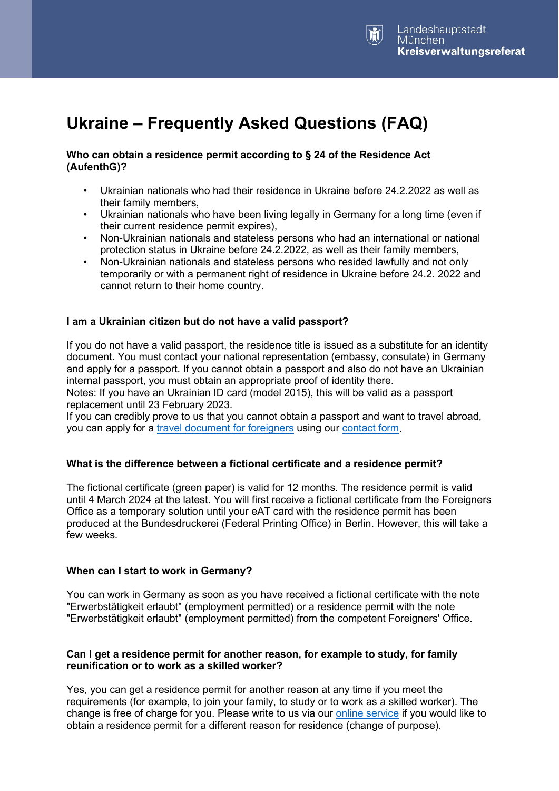# **Ukraine – Frequently Asked Questions (FAQ)**

### **Who can obtain a residence permit according to § 24 of the Residence Act (AufenthG)?**

- Ukrainian nationals who had their residence in Ukraine before 24.2.2022 as well as their family members,
- Ukrainian nationals who have been living legally in Germany for a long time (even if their current residence permit expires),
- Non-Ukrainian nationals and stateless persons who had an international or national protection status in Ukraine before 24.2.2022, as well as their family members,
- Non-Ukrainian nationals and stateless persons who resided lawfully and not only temporarily or with a permanent right of residence in Ukraine before 24.2. 2022 and cannot return to their home country.

#### **I am a Ukrainian citizen but do not have a valid passport?**

If you do not have a valid passport, the residence title is issued as a substitute for an identity document. You must contact your national representation (embassy, consulate) in Germany and apply for a passport. If you cannot obtain a passport and also do not have an Ukrainian internal passport, you must obtain an appropriate proof of identity there.

Notes: If you have an Ukrainian ID card (model 2015), this will be valid as a passport replacement until 23 February 2023.

If you can credibly prove to us that you cannot obtain a passport and want to travel abroad, you can apply for a [travel document for foreigners](https://stadt.muenchen.de/service/info/hauptabteilung-ii-buergerangelegenheiten/1064175/) using our [contact form.](https://service.muenchen.de/intelliform/forms/01/02/02/aufenthaltukraine/index)

#### **What is the difference between a fictional certificate and a residence permit?**

The fictional certificate (green paper) is valid for 12 months. The residence permit is valid until 4 March 2024 at the latest. You will first receive a fictional certificate from the Foreigners Office as a temporary solution until your eAT card with the residence permit has been produced at the Bundesdruckerei (Federal Printing Office) in Berlin. However, this will take a few weeks.

#### **When can I start to work in Germany?**

You can work in Germany as soon as you have received a fictional certificate with the note "Erwerbstätigkeit erlaubt" (employment permitted) or a residence permit with the note "Erwerbstätigkeit erlaubt" (employment permitted) from the competent Foreigners' Office.

#### **Can I get a residence permit for another reason, for example to study, for family reunification or to work as a skilled worker?**

Yes, you can get a residence permit for another reason at any time if you meet the requirements (for example, to join your family, to study or to work as a skilled worker). The change is free of charge for you. Please write to us via our [online service](https://stadt.muenchen.de/infos/onlinekvr.html) if you would like to obtain a residence permit for a different reason for residence (change of purpose).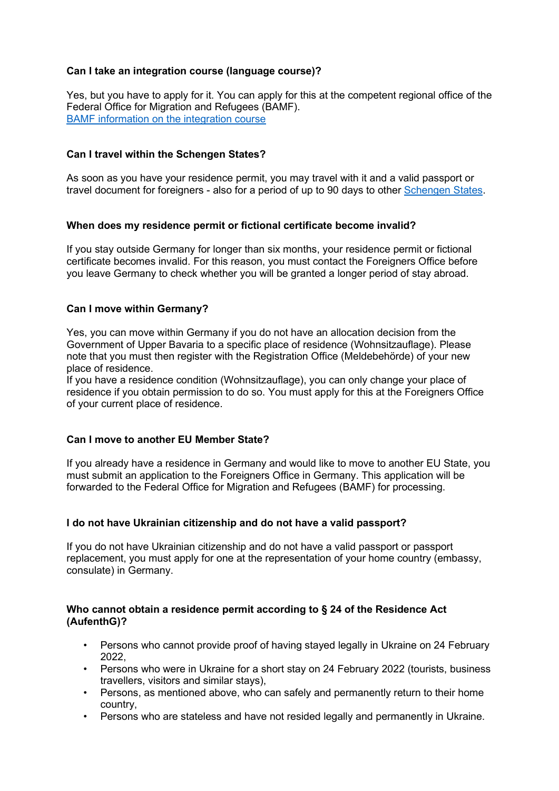# **Can I take an integration course (language course)?**

Yes, but you have to apply for it. You can apply for this at the competent regional office of the Federal Office for Migration and Refugees (BAMF). [BAMF information on the integration course](https://bamf-navi.bamf.de/en/)

## **Can I travel within the Schengen States?**

As soon as you have your residence permit, you may travel with it and a valid passport or travel document for foreigners - also for a period of up to 90 days to other [Schengen States.](https://www.auswaertiges-amt.de/en/visa-service/-/231202)

### **When does my residence permit or fictional certificate become invalid?**

If you stay outside Germany for longer than six months, your residence permit or fictional certificate becomes invalid. For this reason, you must contact the Foreigners Office before you leave Germany to check whether you will be granted a longer period of stay abroad.

# **Can I move within Germany?**

Yes, you can move within Germany if you do not have an allocation decision from the Government of Upper Bavaria to a specific place of residence (Wohnsitzauflage). Please note that you must then register with the Registration Office (Meldebehörde) of your new place of residence.

If you have a residence condition (Wohnsitzauflage), you can only change your place of residence if you obtain permission to do so. You must apply for this at the Foreigners Office of your current place of residence.

### **Can I move to another EU Member State?**

If you already have a residence in Germany and would like to move to another EU State, you must submit an application to the Foreigners Office in Germany. This application will be forwarded to the Federal Office for Migration and Refugees (BAMF) for processing.

### **I do not have Ukrainian citizenship and do not have a valid passport?**

If you do not have Ukrainian citizenship and do not have a valid passport or passport replacement, you must apply for one at the representation of your home country (embassy, consulate) in Germany.

### **Who cannot obtain a residence permit according to § 24 of the Residence Act (AufenthG)?**

- Persons who cannot provide proof of having stayed legally in Ukraine on 24 February 2022,
- Persons who were in Ukraine for a short stay on 24 February 2022 (tourists, business travellers, visitors and similar stays),
- Persons, as mentioned above, who can safely and permanently return to their home country,
- Persons who are stateless and have not resided legally and permanently in Ukraine.